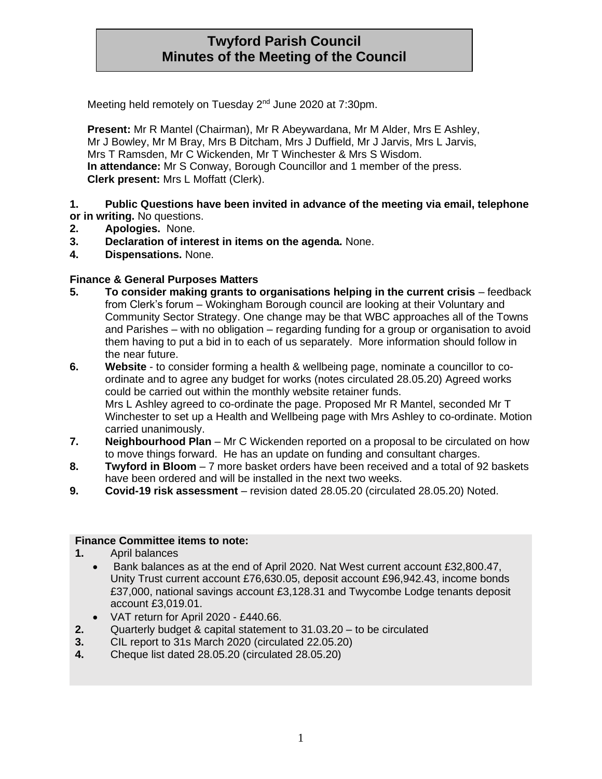# **Twyford Parish Council Minutes of the Meeting of the Council**

Meeting held remotely on Tuesday 2<sup>nd</sup> June 2020 at 7:30pm.

**Present:** Mr R Mantel (Chairman), Mr R Abeywardana, Mr M Alder, Mrs E Ashley, Mr J Bowley, Mr M Bray, Mrs B Ditcham, Mrs J Duffield, Mr J Jarvis, Mrs L Jarvis, Mrs T Ramsden, Mr C Wickenden, Mr T Winchester & Mrs S Wisdom. **In attendance:** Mr S Conway, Borough Councillor and 1 member of the press. **Clerk present:** Mrs L Moffatt (Clerk).

**1. Public Questions have been invited in advance of the meeting via email, telephone or in writing.** No questions.

- **2. Apologies.** None.
- **3. Declaration of interest in items on the agenda.** None.
- **4. Dispensations.** None.

## **Finance & General Purposes Matters**

- **5. To consider making grants to organisations helping in the current crisis** feedback from Clerk's forum – Wokingham Borough council are looking at their Voluntary and Community Sector Strategy. One change may be that WBC approaches all of the Towns and Parishes – with no obligation – regarding funding for a group or organisation to avoid them having to put a bid in to each of us separately. More information should follow in the near future.
- **6. Website**  to consider forming a health & wellbeing page, nominate a councillor to coordinate and to agree any budget for works (notes circulated 28.05.20) Agreed works could be carried out within the monthly website retainer funds. Mrs L Ashley agreed to co-ordinate the page. Proposed Mr R Mantel, seconded Mr T Winchester to set up a Health and Wellbeing page with Mrs Ashley to co-ordinate. Motion carried unanimously.
- **7. Neighbourhood Plan**  Mr C Wickenden reported on a proposal to be circulated on how to move things forward. He has an update on funding and consultant charges.
- **8. Twyford in Bloom**  7 more basket orders have been received and a total of 92 baskets have been ordered and will be installed in the next two weeks.
- **9. Covid-19 risk assessment**  revision dated 28.05.20 (circulated 28.05.20) Noted.

#### **Finance Committee items to note:**

- **1.** April balances
	- Bank balances as at the end of April 2020. Nat West current account £32,800.47, Unity Trust current account £76,630.05, deposit account £96,942.43, income bonds £37,000, national savings account £3,128.31 and Twycombe Lodge tenants deposit account £3,019.01.
	- VAT return for April 2020 £440.66.
- **2.** Quarterly budget & capital statement to 31.03.20 to be circulated
- **3.** CIL report to 31s March 2020 (circulated 22.05.20)
- **4.** Cheque list dated 28.05.20 (circulated 28.05.20)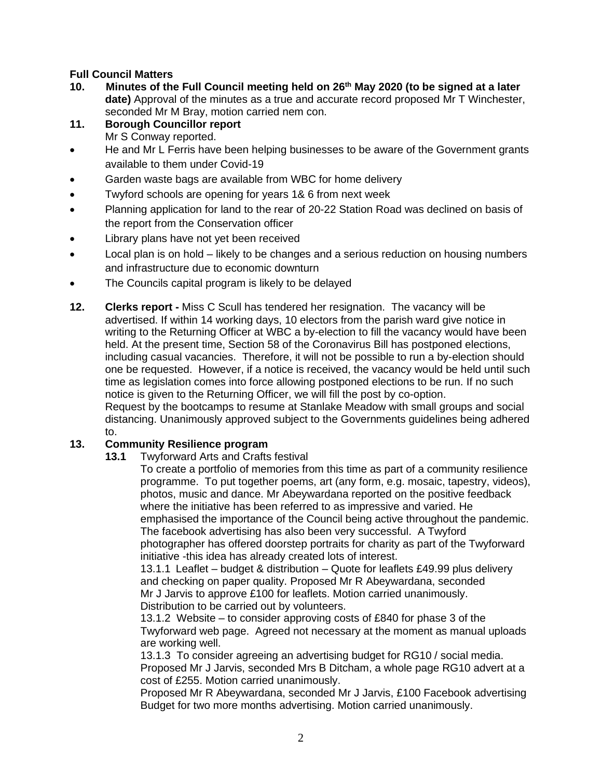## **Full Council Matters**

- **10. Minutes of the Full Council meeting held on 26th May 2020 (to be signed at a later date)** Approval of the minutes as a true and accurate record proposed Mr T Winchester, seconded Mr M Bray, motion carried nem con.
- **11. Borough Councillor report** Mr S Conway reported.
- He and Mr L Ferris have been helping businesses to be aware of the Government grants available to them under Covid-19
- Garden waste bags are available from WBC for home delivery
- Twyford schools are opening for years 1& 6 from next week
- Planning application for land to the rear of 20-22 Station Road was declined on basis of the report from the Conservation officer
- Library plans have not yet been received
- Local plan is on hold likely to be changes and a serious reduction on housing numbers and infrastructure due to economic downturn
- The Councils capital program is likely to be delayed
- **12. Clerks report -** Miss C Scull has tendered her resignation. The vacancy will be advertised. If within 14 working days, 10 electors from the parish ward give notice in writing to the Returning Officer at WBC a by-election to fill the vacancy would have been held. At the present time, Section 58 of the Coronavirus Bill has postponed elections, including casual vacancies. Therefore, it will not be possible to run a by-election should one be requested. However, if a notice is received, the vacancy would be held until such time as legislation comes into force allowing postponed elections to be run. If no such notice is given to the Returning Officer, we will fill the post by co-option. Request by the bootcamps to resume at Stanlake Meadow with small groups and social distancing. Unanimously approved subject to the Governments guidelines being adhered to.

#### **13. Community Resilience program**

**13.1** Twyforward Arts and Crafts festival

To create a portfolio of memories from this time as part of a community resilience programme. To put together poems, art (any form, e.g. mosaic, tapestry, videos), photos, music and dance. Mr Abeywardana reported on the positive feedback where the initiative has been referred to as impressive and varied. He emphasised the importance of the Council being active throughout the pandemic. The facebook advertising has also been very successful. A Twyford photographer has offered doorstep portraits for charity as part of the Twyforward initiative -this idea has already created lots of interest.

13.1.1 Leaflet – budget & distribution – Quote for leaflets £49.99 plus delivery and checking on paper quality. Proposed Mr R Abeywardana, seconded Mr J Jarvis to approve £100 for leaflets. Motion carried unanimously. Distribution to be carried out by volunteers.

13.1.2 Website – to consider approving costs of £840 for phase 3 of the Twyforward web page. Agreed not necessary at the moment as manual uploads are working well.

13.1.3 To consider agreeing an advertising budget for RG10 / social media. Proposed Mr J Jarvis, seconded Mrs B Ditcham, a whole page RG10 advert at a cost of £255. Motion carried unanimously.

Proposed Mr R Abeywardana, seconded Mr J Jarvis, £100 Facebook advertising Budget for two more months advertising. Motion carried unanimously.